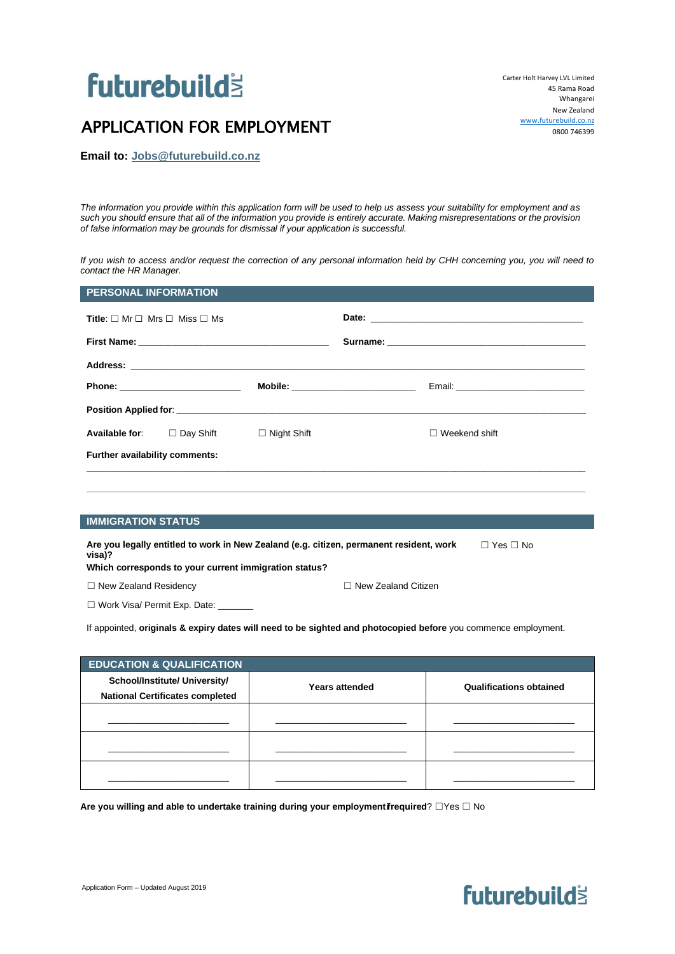# **futurebuild's**

## APPLICATION FOR EMPLOYMENT

Carter Holt Harvey LVL Limited 45 Rama Road Whangarei New Zealand [www.futurebuild.co.nz](http://www.futurrebuild.co.nz/) 0800 746399

**Email to: Jobs@futurebuild.co.nz**

*The information you provide within this application form will be used to help us assess your suitability for employment and as such you should ensure that all of the information you provide is entirely accurate. Making misrepresentations or the provision of false information may be grounds for dismissal if your application is successful.* 

*If you wish to access and/or request the correction of any personal information held by CHH concerning you, you will need to contact the HR Manager.*

|                                | <b>Title:</b> $\Box$ Mr $\Box$ Mrs $\Box$ Miss $\Box$ Ms |                                      |                      |
|--------------------------------|----------------------------------------------------------|--------------------------------------|----------------------|
|                                |                                                          |                                      |                      |
|                                |                                                          |                                      |                      |
|                                |                                                          | Mobile: ____________________________ |                      |
|                                |                                                          |                                      |                      |
|                                | <b>Available for:</b> □ Day Shift □ Night Shift          |                                      | $\Box$ Weekend shift |
| Further availability comments: |                                                          |                                      |                      |

#### **IMMIGRATION STATUS**

| Are you legally entitled to work in New Zealand (e.g. citizen, permanent resident, work<br>visa)? | $\Box$ Yes $\Box$ No |
|---------------------------------------------------------------------------------------------------|----------------------|
| Which corresponds to your current immigration status?                                             |                      |

☐ New Zealand Residency ☐ New Zealand Citizen

□ Work Visa/ Permit Exp. Date: \_

If appointed, **originals & expiry dates will need to be sighted and photocopied before** you commence employment.

| <b>EDUCATION &amp; QUALIFICATION</b>   |                       |                                |  |
|----------------------------------------|-----------------------|--------------------------------|--|
| School/Institute/ University/          | <b>Years attended</b> | <b>Qualifications obtained</b> |  |
| <b>National Certificates completed</b> |                       |                                |  |
|                                        |                       |                                |  |
|                                        |                       |                                |  |
|                                        |                       |                                |  |
|                                        |                       |                                |  |
|                                        |                       |                                |  |
|                                        |                       |                                |  |

Are you willing and able to undertake training during your employmentifrequired? **□Yes □ No** 

### Application Form – Updated August 2019

# **futurebuilds**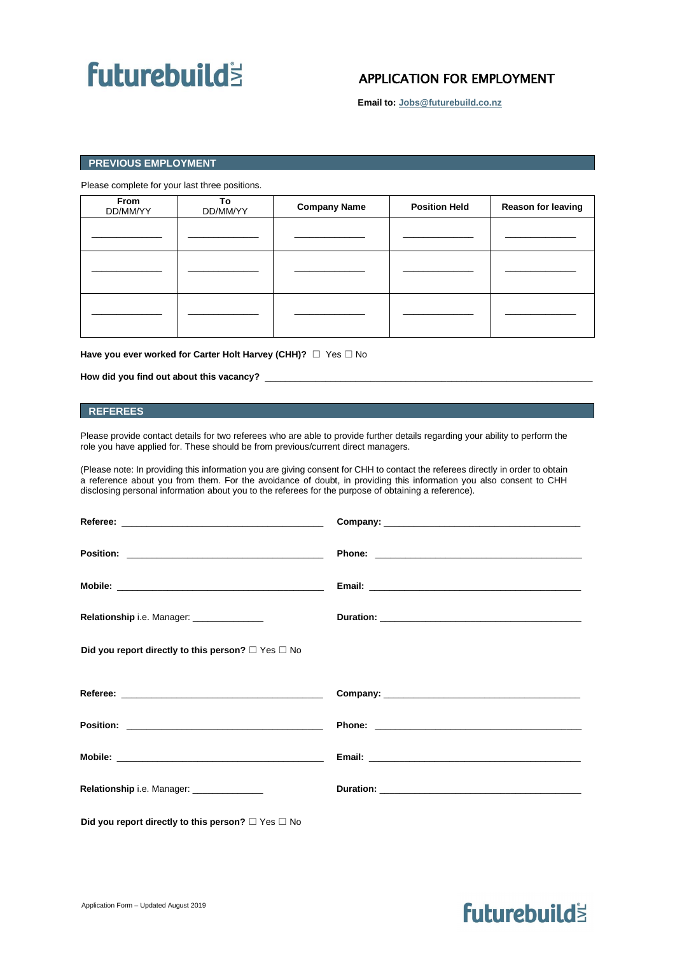# **futurebuilds**

### APPLICATION FOR EMPLOYMENT

**Email to: Jobs@futurebuild.co.nz**

### **PREVIOUS EMPLOYMENT**

Please complete for your last three positions.

| From<br>DD/MM/YY | To<br>DD/MM/YY | <b>Company Name</b> | <b>Position Held</b> | <b>Reason for leaving</b> |
|------------------|----------------|---------------------|----------------------|---------------------------|
|                  |                |                     |                      |                           |
|                  |                |                     |                      |                           |
|                  |                |                     |                      |                           |

Have you ever worked for Carter Holt Harvey (CHH)? □ Yes □ No

How did you find out about this vacancy?

### **REFEREES**

Please provide contact details for two referees who are able to provide further details regarding your ability to perform the role you have applied for. These should be from previous/current direct managers.

(Please note: In providing this information you are giving consent for CHH to contact the referees directly in order to obtain a reference about you from them. For the avoidance of doubt, in providing this information you also consent to CHH disclosing personal information about you to the referees for the purpose of obtaining a reference).

| Relationship i.e. Manager: _______________                   |                                                                                                                                                                                                                                      |
|--------------------------------------------------------------|--------------------------------------------------------------------------------------------------------------------------------------------------------------------------------------------------------------------------------------|
| Did you report directly to this person? $\Box$ Yes $\Box$ No |                                                                                                                                                                                                                                      |
|                                                              |                                                                                                                                                                                                                                      |
|                                                              | Phone: <u>with the contract of the contract of the contract of the contract of the contract of the contract of the contract of the contract of the contract of the contract of the contract of the contract of the contract of t</u> |
|                                                              |                                                                                                                                                                                                                                      |
| Relationship i.e. Manager: _______________                   | Duration: New York State State State State State State State State State State State State State State State State State State State State State State State State State State State State State State State State State State       |
|                                                              |                                                                                                                                                                                                                                      |

**Did you report directly to this person?** ☐ Yes ☐ No

## **futurebuilds**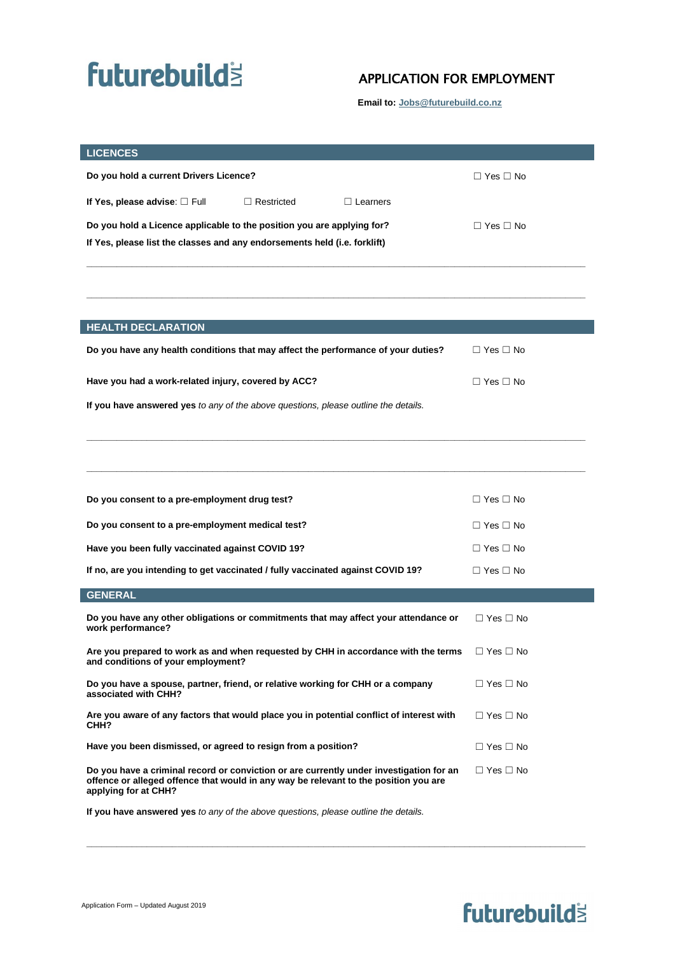# **futurebuilds**

### APPLICATION FOR EMPLOYMENT

**Email to: Jobs@futurebuild.co.nz**

| <b>LICENCES</b>                                                                                                                                                                                         |                      |
|---------------------------------------------------------------------------------------------------------------------------------------------------------------------------------------------------------|----------------------|
| Do you hold a current Drivers Licence?                                                                                                                                                                  | $\Box$ Yes $\Box$ No |
| If Yes, please advise: $\square$ Full<br>$\Box$ Restricted<br>$\Box$ Learners                                                                                                                           |                      |
| Do you hold a Licence applicable to the position you are applying for?                                                                                                                                  | $\Box$ Yes $\Box$ No |
| If Yes, please list the classes and any endorsements held (i.e. forklift)                                                                                                                               |                      |
|                                                                                                                                                                                                         |                      |
|                                                                                                                                                                                                         |                      |
|                                                                                                                                                                                                         |                      |
| <b>HEALTH DECLARATION</b>                                                                                                                                                                               |                      |
| Do you have any health conditions that may affect the performance of your duties?                                                                                                                       | $\Box$ Yes $\Box$ No |
| Have you had a work-related injury, covered by ACC?                                                                                                                                                     | $\Box$ Yes $\Box$ No |
| If you have answered yes to any of the above questions, please outline the details.                                                                                                                     |                      |
|                                                                                                                                                                                                         |                      |
|                                                                                                                                                                                                         |                      |
|                                                                                                                                                                                                         |                      |
| Do you consent to a pre-employment drug test?                                                                                                                                                           | $\Box$ Yes $\Box$ No |
| Do you consent to a pre-employment medical test?                                                                                                                                                        | $\Box$ Yes $\Box$ No |
| Have you been fully vaccinated against COVID 19?                                                                                                                                                        | $\Box$ Yes $\Box$ No |
| If no, are you intending to get vaccinated / fully vaccinated against COVID 19?                                                                                                                         | $\Box$ Yes $\Box$ No |
| <b>GENERAL</b>                                                                                                                                                                                          |                      |
| Do you have any other obligations or commitments that may affect your attendance or<br>work performance?                                                                                                | $\Box$ Yes $\Box$ No |
| Are you prepared to work as and when requested by CHH in accordance with the terms<br>and conditions of your employment?                                                                                | $\Box$ Yes $\Box$ No |
| Do you have a spouse, partner, friend, or relative working for CHH or a company<br>associated with CHH?                                                                                                 | $\Box$ Yes $\Box$ No |
| Are you aware of any factors that would place you in potential conflict of interest with<br>CHH?                                                                                                        | $\Box$ Yes $\Box$ No |
| Have you been dismissed, or agreed to resign from a position?                                                                                                                                           | $\Box$ Yes $\Box$ No |
| Do you have a criminal record or conviction or are currently under investigation for an<br>offence or alleged offence that would in any way be relevant to the position you are<br>applying for at CHH? | $\Box$ Yes $\Box$ No |
| If you have answered yes to any of the above questions, please outline the details.                                                                                                                     |                      |

**\_\_\_\_\_\_\_\_\_\_\_\_\_\_\_\_\_\_\_\_\_\_\_\_\_\_\_\_\_\_\_\_\_\_\_\_\_\_\_\_\_\_\_\_\_\_\_\_\_\_\_\_\_\_\_\_\_\_\_\_\_\_\_\_\_\_\_\_\_\_\_\_\_\_\_\_\_\_\_\_\_\_\_\_\_\_\_\_\_\_\_\_\_\_\_\_\_\_\_**

# **futurebuild**